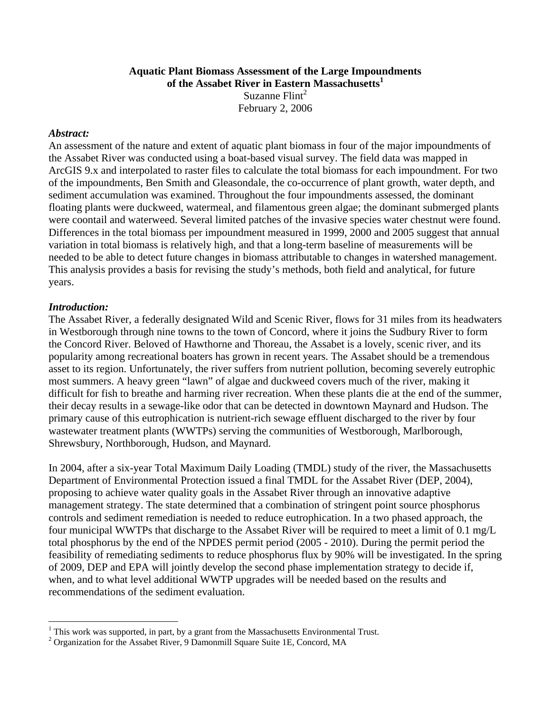### **Aquatic Plant Biomass Assessment of the Large Impoundments of the Assabet River in Eastern Massachusetts<sup>1</sup>** Suzanne  $F$ lint<sup>2</sup>

February 2, 2006

### *Abstract:*

An assessment of the nature and extent of aquatic plant biomass in four of the major impoundments of the Assabet River was conducted using a boat-based visual survey. The field data was mapped in ArcGIS 9.x and interpolated to raster files to calculate the total biomass for each impoundment. For two of the impoundments, Ben Smith and Gleasondale, the co-occurrence of plant growth, water depth, and sediment accumulation was examined. Throughout the four impoundments assessed, the dominant floating plants were duckweed, watermeal, and filamentous green algae; the dominant submerged plants were coontail and waterweed. Several limited patches of the invasive species water chestnut were found. Differences in the total biomass per impoundment measured in 1999, 2000 and 2005 suggest that annual variation in total biomass is relatively high, and that a long-term baseline of measurements will be needed to be able to detect future changes in biomass attributable to changes in watershed management. This analysis provides a basis for revising the study's methods, both field and analytical, for future years.

## *Introduction:*

 $\overline{a}$ 

The Assabet River, a federally designated Wild and Scenic River, flows for 31 miles from its headwaters in Westborough through nine towns to the town of Concord, where it joins the Sudbury River to form the Concord River. Beloved of Hawthorne and Thoreau, the Assabet is a lovely, scenic river, and its popularity among recreational boaters has grown in recent years. The Assabet should be a tremendous asset to its region. Unfortunately, the river suffers from nutrient pollution, becoming severely eutrophic most summers. A heavy green "lawn" of algae and duckweed covers much of the river, making it difficult for fish to breathe and harming river recreation. When these plants die at the end of the summer, their decay results in a sewage-like odor that can be detected in downtown Maynard and Hudson. The primary cause of this eutrophication is nutrient-rich sewage effluent discharged to the river by four wastewater treatment plants (WWTPs) serving the communities of Westborough, Marlborough, Shrewsbury, Northborough, Hudson, and Maynard.

In 2004, after a six-year Total Maximum Daily Loading (TMDL) study of the river, the Massachusetts Department of Environmental Protection issued a final TMDL for the Assabet River (DEP, 2004), proposing to achieve water quality goals in the Assabet River through an innovative adaptive management strategy. The state determined that a combination of stringent point source phosphorus controls and sediment remediation is needed to reduce eutrophication. In a two phased approach, the four municipal WWTPs that discharge to the Assabet River will be required to meet a limit of 0.1 mg/L total phosphorus by the end of the NPDES permit period (2005 - 2010). During the permit period the feasibility of remediating sediments to reduce phosphorus flux by 90% will be investigated. In the spring of 2009, DEP and EPA will jointly develop the second phase implementation strategy to decide if, when, and to what level additional WWTP upgrades will be needed based on the results and recommendations of the sediment evaluation.

<sup>&</sup>lt;sup>1</sup> This work was supported, in part, by a grant from the Massachusetts Environmental Trust.<br><sup>2</sup> Organization for the Assachat Biver, 0 Demonmill Square Suite 1E, Concord, MA

 $^{2}$  Organization for the Assabet River, 9 Damonmill Square Suite 1E, Concord, MA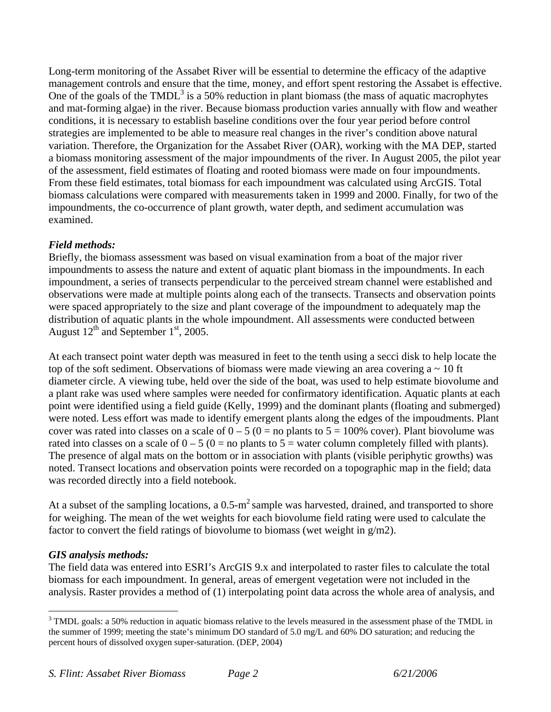Long-term monitoring of the Assabet River will be essential to determine the efficacy of the adaptive management controls and ensure that the time, money, and effort spent restoring the Assabet is effective. One of the goals of the  $TMDL<sup>3</sup>$  is a 50% reduction in plant biomass (the mass of aquatic macrophytes and mat-forming algae) in the river. Because biomass production varies annually with flow and weather conditions, it is necessary to establish baseline conditions over the four year period before control strategies are implemented to be able to measure real changes in the river's condition above natural variation. Therefore, the Organization for the Assabet River (OAR), working with the MA DEP, started a biomass monitoring assessment of the major impoundments of the river. In August 2005, the pilot year of the assessment, field estimates of floating and rooted biomass were made on four impoundments. From these field estimates, total biomass for each impoundment was calculated using ArcGIS. Total biomass calculations were compared with measurements taken in 1999 and 2000. Finally, for two of the impoundments, the co-occurrence of plant growth, water depth, and sediment accumulation was examined.

# *Field methods:*

Briefly, the biomass assessment was based on visual examination from a boat of the major river impoundments to assess the nature and extent of aquatic plant biomass in the impoundments. In each impoundment, a series of transects perpendicular to the perceived stream channel were established and observations were made at multiple points along each of the transects. Transects and observation points were spaced appropriately to the size and plant coverage of the impoundment to adequately map the distribution of aquatic plants in the whole impoundment. All assessments were conducted between August  $12^{th}$  and September  $1^{st}$ , 2005.

At each transect point water depth was measured in feet to the tenth using a secci disk to help locate the top of the soft sediment. Observations of biomass were made viewing an area covering  $a \sim 10$  ft diameter circle. A viewing tube, held over the side of the boat, was used to help estimate biovolume and a plant rake was used where samples were needed for confirmatory identification. Aquatic plants at each point were identified using a field guide (Kelly, 1999) and the dominant plants (floating and submerged) were noted. Less effort was made to identify emergent plants along the edges of the impoudments. Plant cover was rated into classes on a scale of  $0 - 5$  ( $0 =$  no plants to  $5 = 100\%$  cover). Plant biovolume was rated into classes on a scale of  $0 - 5$  ( $0 =$  no plants to  $5 =$  water column completely filled with plants). The presence of algal mats on the bottom or in association with plants (visible periphytic growths) was noted. Transect locations and observation points were recorded on a topographic map in the field; data was recorded directly into a field notebook.

At a subset of the sampling locations, a  $0.5 \text{ m}^2$  sample was harvested, drained, and transported to shore for weighing. The mean of the wet weights for each biovolume field rating were used to calculate the factor to convert the field ratings of biovolume to biomass (wet weight in  $g/m2$ ).

# *GIS analysis methods:*

The field data was entered into ESRI's ArcGIS 9.x and interpolated to raster files to calculate the total biomass for each impoundment. In general, areas of emergent vegetation were not included in the analysis. Raster provides a method of (1) interpolating point data across the whole area of analysis, and

 $\overline{a}$  $3$  TMDL goals: a 50% reduction in aquatic biomass relative to the levels measured in the assessment phase of the TMDL in the summer of 1999; meeting the state's minimum DO standard of 5.0 mg/L and 60% DO saturation; and reducing the percent hours of dissolved oxygen super-saturation. (DEP, 2004)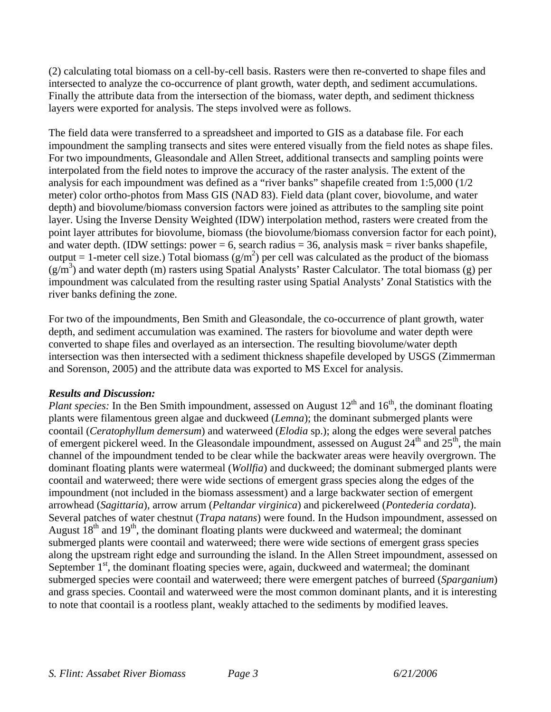(2) calculating total biomass on a cell-by-cell basis. Rasters were then re-converted to shape files and intersected to analyze the co-occurrence of plant growth, water depth, and sediment accumulations. Finally the attribute data from the intersection of the biomass, water depth, and sediment thickness layers were exported for analysis. The steps involved were as follows.

The field data were transferred to a spreadsheet and imported to GIS as a database file. For each impoundment the sampling transects and sites were entered visually from the field notes as shape files. For two impoundments, Gleasondale and Allen Street, additional transects and sampling points were interpolated from the field notes to improve the accuracy of the raster analysis. The extent of the analysis for each impoundment was defined as a "river banks" shapefile created from 1:5,000 (1/2 meter) color ortho-photos from Mass GIS (NAD 83). Field data (plant cover, biovolume, and water depth) and biovolume/biomass conversion factors were joined as attributes to the sampling site point layer. Using the Inverse Density Weighted (IDW) interpolation method, rasters were created from the point layer attributes for biovolume, biomass (the biovolume/biomass conversion factor for each point), and water depth. (IDW settings: power  $= 6$ , search radius  $= 36$ , analysis mask  $=$  river banks shapefile, output = 1-meter cell size.) Total biomass  $(g/m^2)$  per cell was calculated as the product of the biomass  $(g/m<sup>3</sup>)$  and water depth (m) rasters using Spatial Analysts' Raster Calculator. The total biomass (g) per impoundment was calculated from the resulting raster using Spatial Analysts' Zonal Statistics with the river banks defining the zone.

For two of the impoundments, Ben Smith and Gleasondale, the co-occurrence of plant growth, water depth, and sediment accumulation was examined. The rasters for biovolume and water depth were converted to shape files and overlayed as an intersection. The resulting biovolume/water depth intersection was then intersected with a sediment thickness shapefile developed by USGS (Zimmerman and Sorenson, 2005) and the attribute data was exported to MS Excel for analysis.

# *Results and Discussion:*

*Plant species:* In the Ben Smith impoundment, assessed on August  $12<sup>th</sup>$  and  $16<sup>th</sup>$ , the dominant floating plants were filamentous green algae and duckweed (*Lemna*); the dominant submerged plants were coontail (*Ceratophyllum demersum*) and waterweed (*Elodia* sp.); along the edges were several patches of emergent pickerel weed. In the Gleasondale impoundment, assessed on August  $24<sup>th</sup>$  and  $25<sup>th</sup>$ , the main channel of the impoundment tended to be clear while the backwater areas were heavily overgrown. The dominant floating plants were watermeal (*Wollfia*) and duckweed; the dominant submerged plants were coontail and waterweed; there were wide sections of emergent grass species along the edges of the impoundment (not included in the biomass assessment) and a large backwater section of emergent arrowhead (*Sagittaria*), arrow arrum (*Peltandar virginica*) and pickerelweed (*Pontederia cordata*). Several patches of water chestnut (*Trapa natans*) were found. In the Hudson impoundment, assessed on August  $18<sup>th</sup>$  and  $19<sup>th</sup>$ , the dominant floating plants were duckweed and watermeal; the dominant submerged plants were coontail and waterweed; there were wide sections of emergent grass species along the upstream right edge and surrounding the island. In the Allen Street impoundment, assessed on September  $1<sup>st</sup>$ , the dominant floating species were, again, duckweed and watermeal; the dominant submerged species were coontail and waterweed; there were emergent patches of burreed (*Sparganium*) and grass species. Coontail and waterweed were the most common dominant plants, and it is interesting to note that coontail is a rootless plant, weakly attached to the sediments by modified leaves.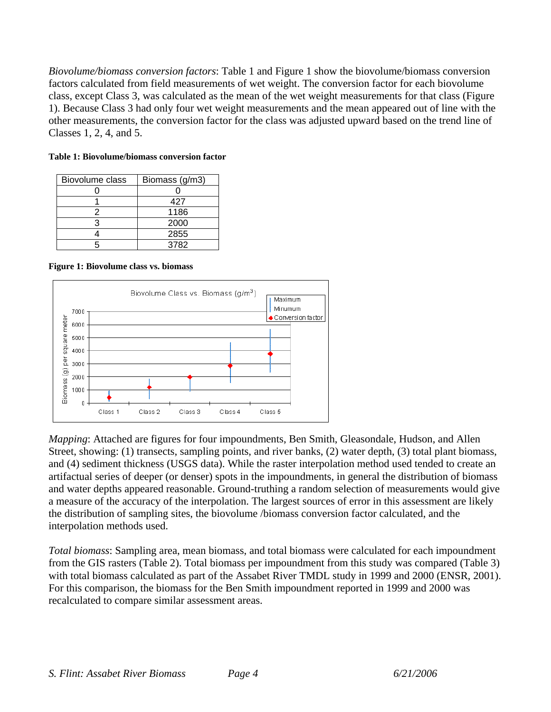*Biovolume/biomass conversion factors*: Table 1 and Figure 1 show the biovolume/biomass conversion factors calculated from field measurements of wet weight. The conversion factor for each biovolume class, except Class 3, was calculated as the mean of the wet weight measurements for that class (Figure 1). Because Class 3 had only four wet weight measurements and the mean appeared out of line with the other measurements, the conversion factor for the class was adjusted upward based on the trend line of Classes 1, 2, 4, and 5.

| Biovolume class | Biomass (g/m3) |  |  |
|-----------------|----------------|--|--|
|                 |                |  |  |
|                 | 427            |  |  |
|                 | 1186           |  |  |
|                 | 2000           |  |  |
|                 | 2855           |  |  |
|                 | 3782           |  |  |

**Table 1: Biovolume/biomass conversion factor** 

**Figure 1: Biovolume class vs. biomass** 



*Mapping*: Attached are figures for four impoundments, Ben Smith, Gleasondale, Hudson, and Allen Street, showing: (1) transects, sampling points, and river banks, (2) water depth, (3) total plant biomass, and (4) sediment thickness (USGS data). While the raster interpolation method used tended to create an artifactual series of deeper (or denser) spots in the impoundments, in general the distribution of biomass and water depths appeared reasonable. Ground-truthing a random selection of measurements would give a measure of the accuracy of the interpolation. The largest sources of error in this assessment are likely the distribution of sampling sites, the biovolume /biomass conversion factor calculated, and the interpolation methods used.

*Total biomass*: Sampling area, mean biomass, and total biomass were calculated for each impoundment from the GIS rasters (Table 2). Total biomass per impoundment from this study was compared (Table 3) with total biomass calculated as part of the Assabet River TMDL study in 1999 and 2000 (ENSR, 2001). For this comparison, the biomass for the Ben Smith impoundment reported in 1999 and 2000 was recalculated to compare similar assessment areas.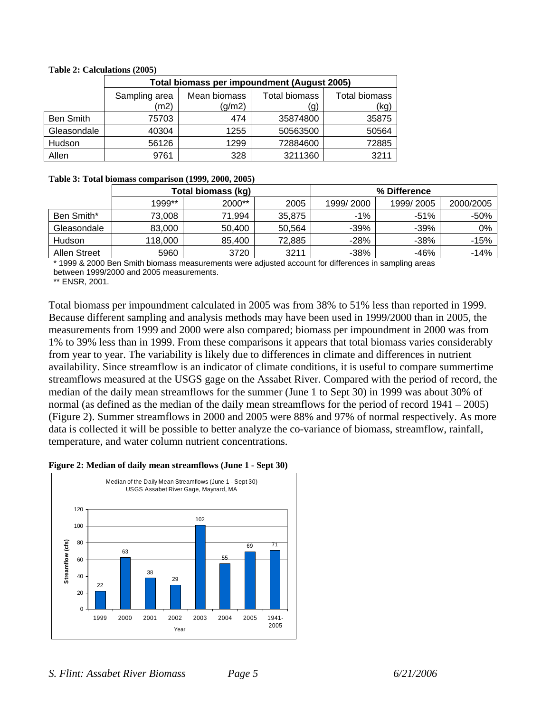|                  | Total biomass per impoundment (August 2005) |                        |                      |                              |  |  |  |
|------------------|---------------------------------------------|------------------------|----------------------|------------------------------|--|--|--|
|                  | Sampling area<br>(m2)                       | Mean biomass<br>(g/m2) | Total biomass<br>(g) | <b>Total biomass</b><br>(kg) |  |  |  |
| <b>Ben Smith</b> | 75703                                       | 474                    | 35874800             | 35875                        |  |  |  |
| Gleasondale      | 40304                                       | 1255                   | 50563500             | 50564                        |  |  |  |
| Hudson           | 56126                                       | 1299                   | 72884600             | 72885                        |  |  |  |
| Allen            | 9761                                        | 328                    | 3211360              | 3211                         |  |  |  |

#### **Table 2: Calculations (2005)**

#### **Table 3: Total biomass comparison (1999, 2000, 2005)**

|                     | Total biomass (kg) |        |        | % Difference |           |           |
|---------------------|--------------------|--------|--------|--------------|-----------|-----------|
|                     | 1999**             | 2000** | 2005   | 1999/2000    | 1999/2005 | 2000/2005 |
| Ben Smith*          | 73.008             | 71.994 | 35.875 | $-1\%$       | $-51%$    | -50%      |
| Gleasondale         | 83,000             | 50.400 | 50.564 | -39%         | -39%      | 0%        |
| Hudson              | 118,000            | 85.400 | 72,885 | $-28%$       | -38%      | $-15%$    |
| <b>Allen Street</b> | 5960               | 3720   | 3211   | $-38%$       | -46%      | $-14%$    |

1999 & 2000 Ben Smith biomass measurements were adjusted account for differences in sampling areas between 1999/2000 and 2005 measurements.

\*\* ENSR, 2001.

Total biomass per impoundment calculated in 2005 was from 38% to 51% less than reported in 1999. Because different sampling and analysis methods may have been used in 1999/2000 than in 2005, the measurements from 1999 and 2000 were also compared; biomass per impoundment in 2000 was from 1% to 39% less than in 1999. From these comparisons it appears that total biomass varies considerably from year to year. The variability is likely due to differences in climate and differences in nutrient availability. Since streamflow is an indicator of climate conditions, it is useful to compare summertime streamflows measured at the USGS gage on the Assabet River. Compared with the period of record, the median of the daily mean streamflows for the summer (June 1 to Sept 30) in 1999 was about 30% of normal (as defined as the median of the daily mean streamflows for the period of record 1941 – 2005) (Figure 2). Summer streamflows in 2000 and 2005 were 88% and 97% of normal respectively. As more data is collected it will be possible to better analyze the co-variance of biomass, streamflow, rainfall, temperature, and water column nutrient concentrations.

#### **Figure 2: Median of daily mean streamflows (June 1 - Sept 30)**

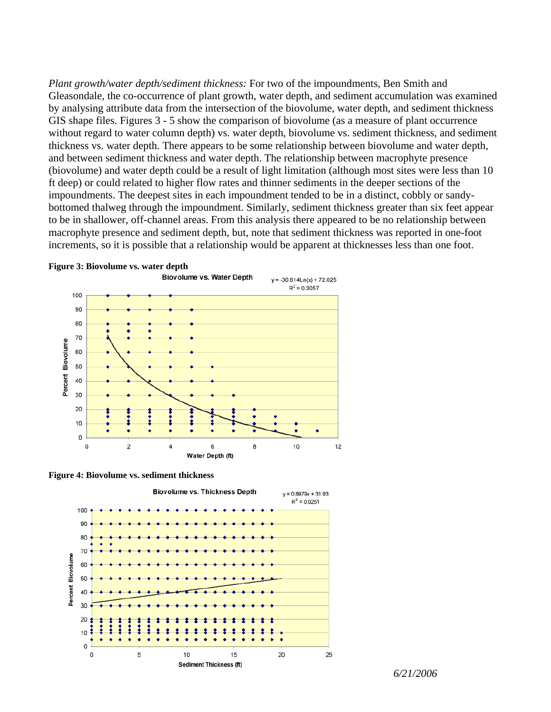*Plant growth/water depth/sediment thickness:* For two of the impoundments, Ben Smith and Gleasondale, the co-occurrence of plant growth, water depth, and sediment accumulation was examined by analysing attribute data from the intersection of the biovolume, water depth, and sediment thickness GIS shape files. Figures 3 - 5 show the comparison of biovolume (as a measure of plant occurrence without regard to water column depth) vs. water depth, biovolume vs. sediment thickness, and sediment thickness vs. water depth. There appears to be some relationship between biovolume and water depth, and between sediment thickness and water depth. The relationship between macrophyte presence (biovolume) and water depth could be a result of light limitation (although most sites were less than 10 ft deep) or could related to higher flow rates and thinner sediments in the deeper sections of the impoundments. The deepest sites in each impoundment tended to be in a distinct, cobbly or sandybottomed thalweg through the impoundment. Similarly, sediment thickness greater than six feet appear to be in shallower, off-channel areas. From this analysis there appeared to be no relationship between macrophyte presence and sediment depth, but, note that sediment thickness was reported in one-foot increments, so it is possible that a relationship would be apparent at thicknesses less than one foot.